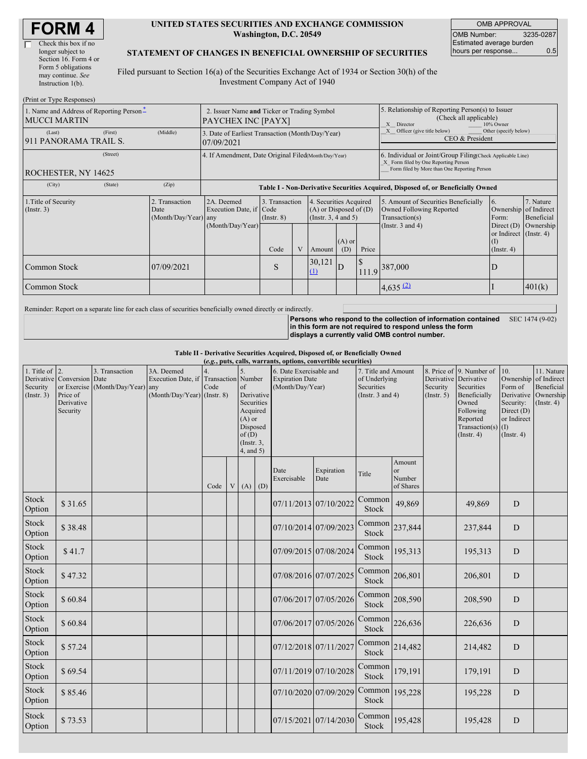| <b>FORM4</b> |
|--------------|
|--------------|

#### **UNITED STATES SECURITIES AND EXCHANGE COMMISSION Washington, D.C. 20549**

OMB APPROVAL OMB Number: 3235-0287 Estimated average burden hours per response... 0.5

### **STATEMENT OF CHANGES IN BENEFICIAL OWNERSHIP OF SECURITIES**

Filed pursuant to Section 16(a) of the Securities Exchange Act of 1934 or Section 30(h) of the Investment Company Act of 1940

| (Print or Type Responses)                                       |                                                                                                                                                                                                              |                                                                                  |      |                                                                                           |                                                  |                                                                                                       |                                                                                                                                                    |                       |                                                                            |           |
|-----------------------------------------------------------------|--------------------------------------------------------------------------------------------------------------------------------------------------------------------------------------------------------------|----------------------------------------------------------------------------------|------|-------------------------------------------------------------------------------------------|--------------------------------------------------|-------------------------------------------------------------------------------------------------------|----------------------------------------------------------------------------------------------------------------------------------------------------|-----------------------|----------------------------------------------------------------------------|-----------|
| 1. Name and Address of Reporting Person-<br><b>MUCCI MARTIN</b> | 2. Issuer Name and Ticker or Trading Symbol<br>PAYCHEX INC [PAYX]                                                                                                                                            |                                                                                  |      |                                                                                           |                                                  | 5. Relationship of Reporting Person(s) to Issuer<br>(Check all applicable)<br>10% Owner<br>X Director |                                                                                                                                                    |                       |                                                                            |           |
| (First)<br>(Last)<br>911 PANORAMA TRAIL S.                      | (Middle)                                                                                                                                                                                                     | 3. Date of Earliest Transaction (Month/Day/Year)<br>07/09/2021                   |      |                                                                                           |                                                  |                                                                                                       | Officer (give title below)<br>Other (specify below)<br>X<br>CEO & President                                                                        |                       |                                                                            |           |
| (Street)<br>ROCHESTER, NY 14625                                 | 4. If Amendment, Date Original Filed(Month/Day/Year)                                                                                                                                                         |                                                                                  |      |                                                                                           |                                                  |                                                                                                       | 6. Individual or Joint/Group Filing(Check Applicable Line)<br>X Form filed by One Reporting Person<br>Form filed by More than One Reporting Person |                       |                                                                            |           |
| (City)<br>(State)                                               | (Zip)                                                                                                                                                                                                        | Table I - Non-Derivative Securities Acquired, Disposed of, or Beneficially Owned |      |                                                                                           |                                                  |                                                                                                       |                                                                                                                                                    |                       |                                                                            |           |
| 1. Title of Security<br>(Insert. 3)                             | 2. Transaction<br>2A. Deemed<br>3. Transaction<br>4. Securities Acquired<br>$(A)$ or Disposed of $(D)$<br>Execution Date, if Code<br>Date<br>(Month/Day/Year) any<br>(Insert. 3, 4 and 5)<br>$($ Instr. $8)$ |                                                                                  |      | 5. Amount of Securities Beneficially<br><b>Owned Following Reported</b><br>Transaction(s) | 7. Nature<br>Ownership of Indirect<br>Beneficial |                                                                                                       |                                                                                                                                                    |                       |                                                                            |           |
|                                                                 |                                                                                                                                                                                                              | (Month/Day/Year)                                                                 | Code |                                                                                           | Amount                                           | $(A)$ or<br>(D)                                                                                       | Price                                                                                                                                              | (Instr. $3$ and $4$ ) | Direct $(D)$<br>or Indirect $($ Instr. 4 $)$<br>$($ I)<br>$($ Instr. 4 $)$ | Ownership |
| Common Stock                                                    | 07/09/2021                                                                                                                                                                                                   |                                                                                  | S    |                                                                                           | 30,121<br>(1)                                    | D                                                                                                     |                                                                                                                                                    | $111.9$ 387,000       | D                                                                          |           |
| Common Stock                                                    |                                                                                                                                                                                                              |                                                                                  |      |                                                                                           |                                                  |                                                                                                       |                                                                                                                                                    | 4,635(2)              |                                                                            | 401(k)    |

Reminder: Report on a separate line for each class of securities beneficially owned directly or indirectly.

**Persons who respond to the collection of information contained** SEC 1474 (9-02) **in this form are not required to respond unless the form displays a currently valid OMB control number.**

**Table II - Derivative Securities Acquired, Disposed of, or Beneficially Owned**

| (e.g., puts, calls, warrants, options, convertible securities) |                                                                  |                                                    |                                                                                      |      |   |                                                                                                     |            |                                                                                                                               |                       |                     |                                                |                                       |                                                                                                                                              |                                                                                                           |                                                                          |
|----------------------------------------------------------------|------------------------------------------------------------------|----------------------------------------------------|--------------------------------------------------------------------------------------|------|---|-----------------------------------------------------------------------------------------------------|------------|-------------------------------------------------------------------------------------------------------------------------------|-----------------------|---------------------|------------------------------------------------|---------------------------------------|----------------------------------------------------------------------------------------------------------------------------------------------|-----------------------------------------------------------------------------------------------------------|--------------------------------------------------------------------------|
| 1. Title of $\vert$ 2.<br>Security<br>(Insert. 3)              | Derivative Conversion Date<br>Price of<br>Derivative<br>Security | 3. Transaction<br>or Exercise (Month/Day/Year) any | 3A. Deemed<br>Execution Date, if Transaction Number<br>$(Month/Day/Year)$ (Instr. 8) | Code |   | of<br>Securities<br>Acquired<br>$(A)$ or<br>Disposed<br>of(D)<br>$($ Instr. $3,$<br>$4$ , and $5$ ) | Derivative | 6. Date Exercisable and<br><b>Expiration Date</b><br>of Underlying<br>(Month/Day/Year)<br>Securities<br>(Instr. $3$ and $4$ ) |                       | 7. Title and Amount |                                                | Derivative<br>Security<br>(Insert, 5) | 8. Price of 9. Number of<br>Derivative<br>Securities<br>Beneficially<br>Owned<br>Following<br>Reported<br>Transaction(s)<br>$($ Instr. 4 $)$ | 10.<br>Ownership<br>Form of<br>Derivative<br>Security:<br>Direct (D)<br>or Indirect<br>(I)<br>(Insert. 4) | 11. Nature<br>of Indirect<br>Beneficial<br>Ownership<br>$($ Instr. 4 $)$ |
|                                                                |                                                                  |                                                    |                                                                                      | Code | V | $(A)$ $(D)$                                                                                         |            | Date<br>Exercisable                                                                                                           | Expiration<br>Date    | Title               | Amount<br><sub>or</sub><br>Number<br>of Shares |                                       |                                                                                                                                              |                                                                                                           |                                                                          |
| <b>Stock</b><br>Option                                         | \$31.65                                                          |                                                    |                                                                                      |      |   |                                                                                                     |            |                                                                                                                               | 07/11/2013 07/10/2022 | Common<br>Stock     | 49,869                                         |                                       | 49,869                                                                                                                                       | D                                                                                                         |                                                                          |
| <b>Stock</b><br>Option                                         | \$38.48                                                          |                                                    |                                                                                      |      |   |                                                                                                     |            |                                                                                                                               | 07/10/2014 07/09/2023 | Common<br>Stock     | 237,844                                        |                                       | 237,844                                                                                                                                      | D                                                                                                         |                                                                          |
| <b>Stock</b><br>Option                                         | \$41.7                                                           |                                                    |                                                                                      |      |   |                                                                                                     |            |                                                                                                                               | 07/09/2015 07/08/2024 | Common<br>Stock     | 195,313                                        |                                       | 195,313                                                                                                                                      | D                                                                                                         |                                                                          |
| <b>Stock</b><br>Option                                         | \$47.32                                                          |                                                    |                                                                                      |      |   |                                                                                                     |            |                                                                                                                               | 07/08/2016 07/07/2025 | Common<br>Stock     | 206,801                                        |                                       | 206,801                                                                                                                                      | D                                                                                                         |                                                                          |
| <b>Stock</b><br>Option                                         | \$60.84                                                          |                                                    |                                                                                      |      |   |                                                                                                     |            |                                                                                                                               | 07/06/2017 07/05/2026 | Common<br>Stock     | 208,590                                        |                                       | 208,590                                                                                                                                      | D                                                                                                         |                                                                          |
| <b>Stock</b><br>Option                                         | \$60.84                                                          |                                                    |                                                                                      |      |   |                                                                                                     |            |                                                                                                                               | 07/06/2017 07/05/2026 | Common<br>Stock     | 226,636                                        |                                       | 226,636                                                                                                                                      | D                                                                                                         |                                                                          |
| <b>Stock</b><br>Option                                         | \$57.24                                                          |                                                    |                                                                                      |      |   |                                                                                                     |            | 07/12/2018 07/11/2027                                                                                                         |                       | Common<br>Stock     | 214,482                                        |                                       | 214,482                                                                                                                                      | D                                                                                                         |                                                                          |
| <b>Stock</b><br>Option                                         | \$69.54                                                          |                                                    |                                                                                      |      |   |                                                                                                     |            |                                                                                                                               | 07/11/2019 07/10/2028 | Common<br>Stock     | 179,191                                        |                                       | 179,191                                                                                                                                      | D                                                                                                         |                                                                          |
| Stock<br>Option                                                | \$85.46                                                          |                                                    |                                                                                      |      |   |                                                                                                     |            |                                                                                                                               | 07/10/2020 07/09/2029 | Common<br>Stock     | 195,228                                        |                                       | 195,228                                                                                                                                      | D                                                                                                         |                                                                          |
| Stock<br>Option                                                | \$73.53                                                          |                                                    |                                                                                      |      |   |                                                                                                     |            | 07/15/2021 07/14/2030                                                                                                         |                       | Common<br>Stock     | 195,428                                        |                                       | 195,428                                                                                                                                      | D                                                                                                         |                                                                          |